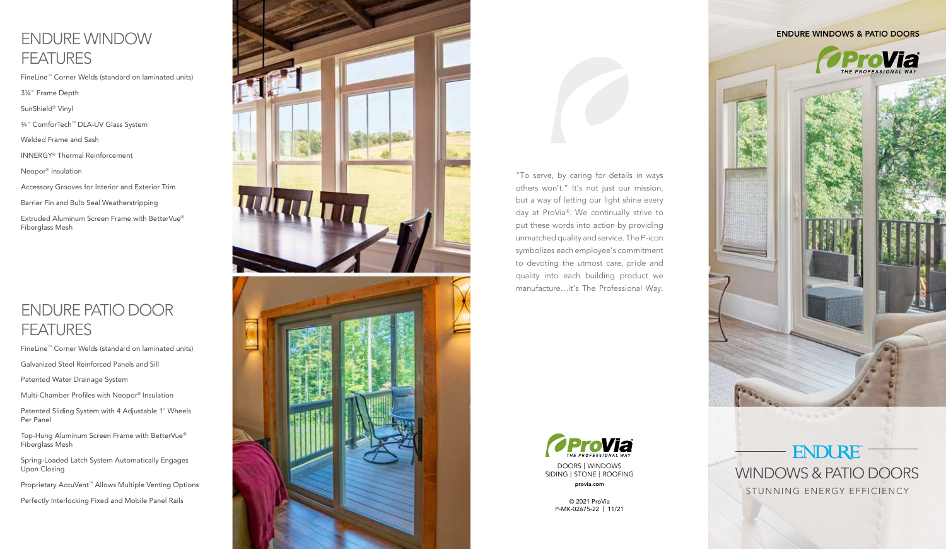## ENDURE WINDOW **FEATURES**

FineLine ™ Corner Welds (standard on laminated units)

3¼ " Frame Depth

SunShield ® Vinyl

¾ " ComforTech ™ DLA-UV Glass System

Welded Frame and Sash

INNERGY ® Thermal Reinforcement

Neopor ® Insulation

Accessory Grooves for Interior and Exterior Trim

Barrier Fin and Bulb Seal Weatherstripping

Extruded Aluminum Screen Frame with BetterVue ® Fiberglass Mesh

## ENDURE PATIO DOOR **FEATURES**

FineLine ™ Corner Welds (standard on laminated units)

Galvanized Steel Reinforced Panels and Sill

Patented Water Drainage System

Multi-Chamber Profiles with Neopor ® Insulation

Patented Sliding System with 4 Adjustable 1 " Wheels Per Panel

Top-Hung Aluminum Screen Frame with BetterVue ® Fiberglass Mesh

Spring-Loaded Latch System Automatically Engages Upon Closing

Proprietary AccuVent ™ Allows Multiple Venting Options

Perfectly Interlocking Fixed and Mobile Panel Rails



"To serve, by caring for details in ways others won't." It's not just our mission, but a way of letting our light shine every day at ProVia ®. We continually strive to put these words into action by providing unmatched quality and service. The P-icon symbolizes each employee's commitment to devoting the utmost care, pride and quality into each building product we manufacture…it's The Professional Way.



DOORS | WINDOWS SIDING | STONE | ROOFING provia.com

> © 2021 ProVia P-MK-02675-22 | 11/21

### ENDURE WINDOWS & PATIO DOORS